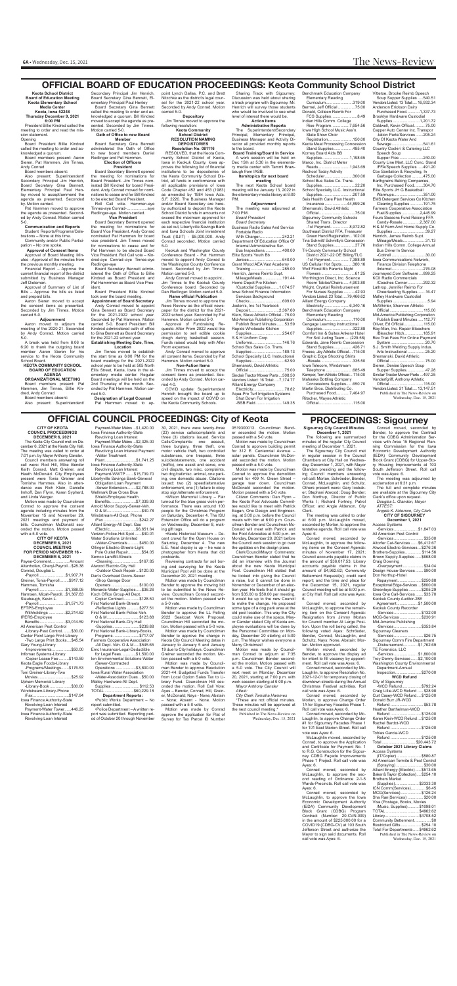**OFFICIAL COUNCIL PROCEEDINGS: City of Keota**

**CITY OF KEOTA COUNCIL PROCEEDINGS DECEMBER 6, 2021** The Keota City Council met on December 6, 2021 at the Keota City Hall. The meeting was called to order at 7:01 p.m. by Mayor Anthony Cansler. Council members answering roll call were: Rod Hill, Mike Bender Keith Conrad, Matt Greiner, and Heath McDonald. City Employees present were Tonia Greiner and Tomisha Hammes. Also in attendance was Rich Klein, Danielle Imhoff, Dan Flynn, Karen Sypherd,

and Linda Werger.

Motion was made by Councilman Conrad to approve the consent agenda including minutes from the November 15 and November 29,

2021 meetings and payment of bills. Councilman McDonald seconded the motion. Motion passed with a 5-0 vote. **CITY OF KEOTA**

**DECEMBER 6, 2021 COUNCIL MEETING FOR PERIOD NOVEMBER 16 - DECEMBER 6, 2021** Payee-Comment................ Amount Altenhofen, Cheryl-Payroll...\$28.38 Conrad, Douglas L. -Payroll........................\$1,907.71 Greiner, Tonia-Payroll........\$917.12 Hammes, Tomisha -Payroll........................\$1,388.05 Harmsen, Micah-Payroll...\$1,367.83 Slaubaugh, Kevin L. -Payroll........................\$1,571.73

Payment-WWTP .......\$15,739.70 Libertyville Savings Bank-General Obligation Loan Payment<br>-Sewer Extension........\$2,788.00

-Sewer Extension........\$2,788.00 Wellmark Blue Cross Blue Shield-Employee Health<br>Benefits.....................\$7,339.93

EFTPS-Employee Withholdings ...............\$2,214.62

IPERS-Employee<br>Benefits...........  $$3,014.59$ 

All American Pest Control -Library-Pest Control........\$30.00

Center Point Large Print-Library -Two Large Print Books....\$45.54 Gary Young-Library

-Improvements.................\$50.00 Infomax Systems-Library<br>-Copier Lease Fee .........\$143.59 -Copier Lease Fee... Keota Eagle Foods-Library

-Programs/Meetings.......\$176.53 Toni Greiner-Library-Two

Movies..............................\$25.92 Upham Memorial Library

-Library-Book ...................\$30.00 Windstream-Library-Phone

/Fax................................\$147.94 Iowa Finance Authority-State Revolving Loan Interest

Payment-Water Tower......446.25 Iowa Finance Authority-State Revolving Loan Interest

Payment-Water Mains ...\$1,420.00 Iowa Finance Authority-State

30, 2021, there were twenty-three (23) service calls/complaints and three (3) citations issued. Service Calls/Complaints: one assault, three burglary, three theft, one motor vehicle theft, two controlled substances, one trespass, three

Revolving Loan Interest Payment-Water Mains ...\$2,325.00 Iowa Finance Authority-State Revolving Loan Interest Payment -Water Treatment

Plant............................\$1,741.25 Iowa Finance Authority-State Revolving Loan Interest

 Benefits.......................\$7,339.93 Arnold Motor Supply-Sewer-Veh.

•Police Department – A written report was submitted. Reporting period of October 20 through November

O & M...............................\$40.78 Windstream-All Dept. Phone /Fax................................\$242.27 Alliant Energy-All Dept. Gas /Electric .......................\$6,651.64 Verizon-Police-Hot Spot ......\$40.01 Water Solutions Unlimited -Water-Chemicals ..........\$450.00 Ollinger Electric-Streets-Light Pole Outlet Repair.............\$54.05 Semco Landfill-Streets -Cleaning........................\$167.85 Atwood Electric-City Hall -Outdoor Clock Repair...\$120.00 Dan's Overhead Doors-Sewer -Shop Garage Door Openers .........................\$100.00 Menards-Water-Supplies.....\$36.26 Koch Office Group-All Dept. Copier Contract..............\$128.50 First National Bank-Streets -Reflective Lights ...........\$277.51 First National Bank-Police-Veh. O & M.............................\$123.88 First National Bank-City Hall -Supplies........................\$239.88 First National Bank-Library-Books, Programs .......................\$717.07 Farmers Cooperative Association -All Dept. Veh. O & M.....\$545.65 Emc Insurance-Legal-Deductible<br>for Legal Fees.............\$1,500.00 for Legal Fees.............\$1,500.00 Ion Environmental Solutions-Water /Sewer-Contracted<br>Operations ......... Operations ..................\$3,800.00 Iowa Rural Water Association -Water-Association Dues...\$50.00 Malley Hardware-All Dept.<br>Supplies .......................\$112.53 Supplies .........................\$112.53 ...\$60,229.18 **Department Reports:** •Public Works Department – No report submitted. formance. There was around 100 people for the Christmas Program on Saturday, December 4. The ISU Extension Office will do a program on Wednesday, December 8, making gift tags. •Keota Historical Museum – Decent crowd for the Open House on Saturday, December 4. The new E.E. Neal display is up – he was a photographer from Keota that did postcards. Reviewing contracts for soil boring and surveying for the Keota Municipal Pool will be done at the December 20, 2021 meeting. Motion was made by Councilman Bender to approve the mowing bid to be submitted to the News Review. Councilman Conrad seconded the motion. Motion passed with a 5-0 vote. Motion was made by Councilman Bender to approve the LL Pelling 2022 Sealcoat Work Proposal. Councilman Hill seconded the motion. Motion passed with a 5-0 vote. Motion was made by Councilman Bender to approve the change in Keota City Council Meeting dates in January to January 5 and January 19 due to City holidays. Councilman Greiner seconded the motion. Motion passed with a 5-0 vote. Motion was made by Councilman Bender to approve Resolution 2021-44: Budgeted Funds Transfer from Local Option Sales Tax to Library Fund. Councilman Hill seconded the motion. Roll Call Vote: Ayes – Bender, Conrad, Hill, Greiner, McDonald; Nays - None; Abstain – None; Absent - None. Motion

suicide/statements, one accident (traffic), one assist and serve, one civil dispute, two misc. complaints, two dog/cat/misc. animal, one parking, one domestic abuse. Citations issued: two (2) speed/alternative enforcement, one (1) failure to obey stop sign/alternate enforcement. •Wilson Memorial Library – Fair turnout for the blue grass violin per-

Roll Call vote- Hammen-aye Tinnes-aye Conrad-..................aye Redlinger-aye. Motion carried.

> passed with a 5-0 vote. Motion was made by Conrad approve the application for Plat of Survey for Tax Parcel ID Number

0519300013. Councilman Bender seconded the motion. Motion passed with a 5-0 vote.

Motion was made by Councilman Conrad to approve building permit for 312 E. Centennial Avenue – solar panels. Councilman McDonald seconded the motion. Motion

passed with a 5-0 vote.

munity School District of Keota, Iowa in Keokuk County, Iowa approves the following list of financial institutions to be depositories of the Keota Community School District, all funds in conformance with all applicable provisions of Iowa Code Chapter 452 and 453 (1983) as amended by 1984 Iowa Acts. S.F. 2220. The Business Manager and/or Board Secretary are hereby authorized to deposit the Keota School District funds in amounts not exceed the maximum approved for each respective financial institution as set out, Libertyville Savings Bank and Iowa Schools Joint investment Trust (ISJIT) - \$5,000,000. Andy Conrad seconded. Motion carried 5-0.

> Motion was made by Councilman Conrad to approve the demolition permit for 409 N. Green Street – garage tear down. Councilman McDonald seconded the motion. Motion passed with a 5-0 vote. Citizen Comments: Dan Flynn – the Keota Pool Advocate Committee would like to meet with Patrick Eagan, One Design and Engineering, at 5:00 p.m. before the Council

meets with him at 6:00 p.m. Councilman Bender and Councilman Mc-Donald will meet with Patrick and the Pool Advocates at 5:00 p.m. on Monday, December 20, 2021 before the Council work session to go over the updates on the design plans.

Clerk/Council/Mayor Comments: Councilman Bender stated that he did an interview with the Journal about the new Keota Municipal Pool. Councilman Hill stated that he looked into giving the Council a raise, but it cannot be done in November or December of an election year. He feels that it should go from \$35.00 to \$50.00 per meeting. It would be up to the new Council to make the change. He proposed some type of a dog park area at the old pool location. This way the City could make use of the space. Mayor Cansler stated City of Keota employee evaluations will be done by the Personnel Committee on Monday, December 20 starting at 5:00 p.m. The Mayor wishes everyone a Merry Christmas!

**meeting**<br>The next Keota School board meeting will be January 13, 2022 in

Internal Administrative Ser.<br>Bus Inspections...............400.00 Bus Inspections... Elite Sports Youth Bb

Training ............................285.00 Henrich, James Reimb Supt.<br>Mileage/Meals...................191.44 Mileage/Meals....

Home Depot Pro Kitchen<br>
/Custodial Supplies .......1,074.57 /Custodial Supplies .......1,074.57

Motion was made by Councilman Conrad to adjourn at 7:35 p.m. Councilman Bender seconded the motion. Motion passed with a 5-0 vote. The City Council will next meet on Monday, December 20, 2021, starting at 7:00 p.m. with work session starting at 6:00 p.m. *Mayor Anthony Cansler*

*Attest: City Clerk Tomisha Hammes* These are not official minutes. These minutes will be approved at the next council meeting.\* Published in The News-Review on

Wednesday, Dec. 15, 2021

Bermel, Jeff Official ... Donald, Colleen Reimb For FCS Supplies.......................8.49 Indian Hills Comm. College Rise Program................7,654.56 Iowa High School Music Ass'n. State Show Choir

**Keota School District Board of Education Meeting Keota Elementary School Media Center Keota, Iowa 52248 Thursday December 9, 2021**

> Scheduler.........................300.00 School Bus Sales Co. Trans. Supplies .............................32.20 School Specialty LLC. Instructional<br>Supplies.............................207.59 Supplies ...........................207.59 Seis Health Care Plan Health Insurance ....................44,899.26 Shemanski, David Athletic Official................................75.00 Sigourney Community Schools Shared Trans. Director<br>-1st Payment................8.972.82

**6:00 PM** President Billie Kindred called the meeting to order and read the mission statement. Opening

Board President Billie Kindred called the meeting to order and acknowledged a quorum.

Board members present: Aaron Sieren, Pat Hammen, Jim Tinnes, Andy Conrad

#### Board members absent:

Also present: Superintendent/ Secondary Principal Jim Henrich. Board Secretary Gina Bennett, Elementary Principal Paul Henley moved to accept/ammend the agenda as presented. Seconded by. Motion carried.

> -1st Payment....... Southeast District FFA, Treasurer Green Hand Registration...102.00 Tina Schmitt/ Schmitty's Concession<br>Stand Supplies..................37.76 Stand Supplies...................37.76 Tri-County Community School District 2021-22 OE Billing/TLC -1st Payment.................7,388.89 US Cellular Hot Spots..........380.16 Wolf Floral Bb Parents Night Flowers ..............................61.25 Worthington Direct, Inc. Science Room Tables/Chairs......4,903.80 Wright, Crystial Reimbursement<br>For Nurses Supplies ..........42.93 For Nurses Supplies ..........42.93 Vendors Listed: 23 Total:....79,466.62 Alliant Energy Company<br>Electricity........................6.340.16 Electricity.......................6,340.16 Benchmark Education Company Elementary Reading

Pat Hammen moved to approve the agenda as presented. Seconded by Andy Conrad. Motion carried 5-0.

Curriculum...............................319.00<br>ermel, Jeff Official ...............75.00

**Communication and Reports** Student Reports/Programs/Celebrations – None at this time.

Community and/or Public Participation – No one spoke.

#### **Approval of Consent Items** Approval of Board Meeting Min-

utes –Approval of the minutes from the previous monthly meeting. Financial Report – Approve the

current financial report of the district submitted by Business Manager Jeff Dieleman. Approval of Summary of List of

Bills – Approve the bills as listed and prepaid bills.

Aaron Sieren moved to accept the consent items as presented. Seconded by Jim Tinnes. Motion carried 5-0.

#### **Adjournment**

Aaron moved to adjourn the meeting of the 2020-21. Seconded by Andy Conrad. Motion carried 5-0.

A break was held from 6:06 to 6:20 to thank the outgoing board member Aaron Sieren for his service to the Keota Community School Board.

#### **KEOTA COMMUNITY SCHOOL BOARD OF EDUCATION AGENDA**

**ORGANIZATIONAL MEETING** Board members present: Pat Hammen, Jim Tinnes, Billie Kin-

dred, Andy Conrad Board members absent:

Also present: Superintendent/

Secondary Principal Jim Henrich, Board Secretary Gina Bennett, Elementary Principal Paul Henley Board Secretary Gina Bennett called the meeting to order and acknowledged a quorum. Bill Kindred moved to accept the agenda as pre-

sented. Seconded by Jim Tinnes. Motion carried 5-0. **Oath of Office to new Board** 

#### **Member**

Board Secretary Gina Bennett administered the Oath of Office to new board members Daniel Redlinger and Pat Hammen. **Election of Officers**

#### **President**

Board Secretary Bennett opened the meeting for nominations for Board President. Jim Tinnes nominated Bill Kindred for board President. Andy Conrad moved for nominations to cease and for Bill Kindred to be elected Board President.

### **Vice President**

Board Secretary Bennett opened the meeting for nominations for Board Vice President. Andy Conrad nominated Pat Hammen for board vice president. Jim Tinnes moved for nominations to cease and for Pat Hammen to be elected Board Vice President. Roll Call vote – Kindred-aye Conrad–aye Tinnes-aye Redlinger-aye

Board Secretary Bennett administered the Oath of Office to Billie Kindred as Board President and Pat Hammmen as Board Vice President.

> Morlan moved, seconded by Bender, to approve the display ad for intent to fill vacancy by appointment. Roll call vote was Ayes: 6.

Board President Billie Kindred took over the board meeting. **Appointment of Board Secretary**

Andy Conrad moved to appoint Gina Bennett as Board Secretary for the 2021-2022 school year. Seconded by Pat Hammen. Motion carried 5-0. Board President Bill Kindred administered oath of office to Gina Bennett as Board Secretary for the 2021-22 school year. **Establishing Meeting Date, Time,** 

#### **Location**

Jim Tinnes moved to establish the start time as 6:00 PM for the board meetings for the 2021-2022 school year to be held at 505 North Ellis Street, Keota, Iowa in the elementary media center. Regular Board meetings will be held on the 2nd Thursday of the month. Seconded by Pat Hammen. Motion carried 5-0.

**Designation of Legal Counsel** Pat Hammen moved to appoint Lynch Dallas, P.C. and Brett Nitzchke as the district's legal counsel for the 2021-22 school year. Seconded by Andy Conrad. Motion carried 5-0.

# **OFFICIAL BOARD OF EDUCATION PROCEEDINGS: Keota Community School District** Benchmark Education Company

**Depository** 

Jim Tinnes moved to approve the following resolution: **Keota Community** 

#### **School District RESOLUTION NAMING DEPOISTORIES**

#### **Resolution No. 081116** RESOLVED, that the Keota Com-

Keokuk and Washington County Conference Board - Pat Hammen moved to appoint Andy Conrad to the Washington County Conference board. Seconded by Jim Tinnes. Motion carried 5-0.

Andy Conrad moved to appoint.. Jim Tinnes to the Keokuk County Conference board. Seconded by Dan Redlinger. Motion carried 5-0. **Name official Publication**

Jim Tinnes moved to approve the News Review as the official newspaper for the district for the 2021- 2022 school year. Seconded by Pat Hammen. Motion carried 5-0.

Approval of Fundraising Requests: After Prom 2022 would like permission to sell edible cookie dough during basketball season. Funds raised would help with After Prom expenses.

Andy Conrad moved to approve all consent items. Seconded by Pat Hammen. Motion carried 5-0. **Non-Action Items**

Jim Tinnes moved to accept the consent items as presented. Seconded by Andy Conrad. Motion carried 4-0.

COVID update: Superintendent Henrich brought the board up to speed on the impact of COVID on the Keota Community Schools.

Sharing Track with Sigourney: Discussion was held about sharing a track program with Sigourney. Mr. Henrich will survey those students who would be involved to see what level of interest there would be.

#### **Action Items Administrative Reports**

The Superintendent/Secondary Principal, Elementary Principal, Business Manager and Activity Director all provided monthly reports to the board. **Board Training/Board In Service**

A work session will be held on Dec 15th at 5:30 in the elementary media center with Tammi Brawbaugh from IASB.

#### **Item/topics for next board**

the elementary media library at 6:00 PM.

#### **Adjournment** The meeting was adjourned at

7:00 P.M. *Board President* 

*Board Secretary* 

Business Radio Sales And Service Portable Radio<br>With Charger.... With Charger....................242.21 Department Of Education Office Of

Jersies..............................640.00 Grant Wood AEA Vast Academy

Iowa School Finance Information Services Background Checks.............................609.00

Josten's, Inc 1st Yearbook Deposit..........................2,367.60

Klein, Steve Athletic Official...75.00 Mid-America Publishing Corporation Publish Board Minutes.......53.59

Rapids Wholesale Kitchen Supplies ...........................254.07 S & H Uniform Corp

Uniforms...........................146.76 School Bus Sales Co. Trans. Supplies ...........................189.13

School Specialty LLC. Instructional Supplies .............................62.90

Shemanski, David Athletic Official................................75.00 Sinclair Tractor Mower Parts ...508.50 Vendors Listed: 16 Total:....7,174.77

Alliant Energy Company Electricity............................78.82 Aqua-Pro Turf Irrigation Systems

Shut Down For Irrigation -BSB Field........................149.35 Elementary Reading

Registration......................150.00 Keota Meat Processing Concession<br>Stand Supplies................485.40 Stand Supplies.................485.40

Korney Board Aids BB

Supplies ........................1,198.65

Marco, Inc. District Meter

Reads............................1,943.69

Rschool Today Activity

Curriculum........................110.00 Cengage Learning Instructional Supplies ...........................322.88 Comfort Inn & Suites Ankeny Hotel For Soil Juding Team .... (229.58) Edwards, Jane Reimb Concession Stand Supplies.................426.71 Freese, Jay Athletic Official ...115.00 Graphic Edge Shooting Shirts -Resale.............................335.50 -Resale................................<br>Iowa Telecom, Windstream Telephone ........................685.49 Kemper, Tom Athletic Official... 115.00 Mahaska Bottling Company<br>Concessions Supplies......650.70 Concessions Supplies......650.70 Martin Bros. Distributing Co. Purchased Food............7,404.97

Ritscher, Wayne Athletic

Official..............................115.00

Vittetoe, Brooke Reimb Speech Soup Supper Supplies .....540.51

Vendors Listed: 13 Total:.... 16,932.34 Anderson Erickson Dairy<br>Purchased Food............1,337.73 Purchased Food...... Brooklyn Hardware Custodial Supplies ........................1,201.72 Caldwell, Kevin Official..........75.00 Capper Auto Center Inc. Transpor -tation Parts/Services.......205.24 City Of Keota Water And Sewage............................541.61 Country Cookin' & Catering LLC Speech Soup Supper Pies .....................240.00 County Line Mart, LLC Conc. Stand /FFA/Speech Supplies .....491.20 Cox Sanitation & Recycling, In Garbage Collection ..........475.00 Earthgrains Baking Companies, Inc. Purchased Food........304.70 Elite Sports JH G Basketball<br>Warmups..........................351.00 Warmups..........................351.00 EMS Detergent Services Co Kitchen Cleaning Supplies............191.75 Farmers Cooperative Association Fuel/Supplies ................2,445.99 Fours Seasons Fund Raising FFA Candy-Resale ...............2,387.00 H & M Farm And Home Supply Co. Supplies .............................39.27 Henrich, James Reimb Supt. Mileage/Meals....................31.13 Indian Hills Comm. College Annual Bus Driver In Service -Cottrell ..............................30.00 Iowa Communications Network, Finance Division Telephone<br>//nternet.............................276.08 /Internet.......... Journeyed.Com Software....899.25 KCII Radio Commercials /Coaches Corner..............292.32 Lathrop, Jennifer Reimb For<br>Cheerleading Supplies.......16.47 Cheerleading Supplies. Malley Hardware Custodial Supplies ...............................5.94 McWhirter, Shannon Athletic Official..............................115.00 Mid-America Publishing Corporation Publish Board Minutes.....112.77<br>Niver. Ed Official................115.00 Oliver, Ed Official............... Ray-Man, Inc. Repair Bleachers /Bleacher Hitch.................185.91 Rev Trak Fees For Online Payment System...............................20.70 S.J. Smith Welding Supply Indus.

Arts Instructional ................25.20 Shemanski, David Athletic Official................................75.00 Sieren, Denise Speech Soup Supper Supplies.................47.28

Sinclair Tractor Mower Parts ...497.25 Vanderfgriff, Anthony Athletic Official..............................115.00

Vendors Listed: 31 Total:.... 13,147.51 Published in The News-Review on

Wednesday, Dec. 15, 2021

# **PROCEEDINGS: Sigourney**

**Sigourney City Council Minutes December 1, 2021**

The following are summarized

minutes of the regular City Council meeting of December 1, 2021.

The Sigourney City Council met

in regular session in the Council Chambers at City Hall on Wednesday, December 1, 2021, with Mayor Glandon presiding and the following Council members answering roll call: Morlan, Schröeder, Bender, Conrad, McLaughlin, and Schultz. Others present were: Gary Iosbaker; Stephani Atwood; Doug Bender; Don Northup, Director of Public Works I; Richard Fortney, Patrol Officer; and Angie Alderson, City Clerk.

The meeting was called to order

at 6:00 p.m. McLaughlin moved, seconded by Morlan, to approve the tentative agenda. Roll call vote was Ayes: 6.

Conrad moved, seconded by McLaughlin, to approve the following items on the Consent Agenda: minutes of November 17, 2021; Council accounts payable claims in the amount of \$36,017.53; Library accounts payable claims in the amount of \$4,962.62; Community Betterment Request(s); credit card report; and the time and place for the December 15, 2021, regular Council meeting will be at 6:00 p.m. at City Hall. Roll call vote was Ayes: 6.

Conrad moved, seconded by McLaughlin, to approve the remaining item on the Consent Agenda: Resignation from Jimmy Morlan for Council member At Large Position. Upon the roll being called, the following voted Ayes: Schröeder, Bender, Conrad, McLaughlin, and Schultz. Nays: None. Abstain: Morlan. Motion approved.

Conrad moved, seconded by Mc-Laughlin, to approve Resolution No. 2021-12-01 for temporary closing of downtown streets during the Annual Christmas Festival activities. Roll call vote was Ayes: 6.

Conrad moved, seconded by Morlan, to approve Change Order 1A for Sigourney Facades Phase 1. Roll call vote was Ayes: 6.

Conrad moved, seconded by Mc-Laughlin, to approve Change Order #1 for Sigourney Facades Phase 1 for 101 East Marion Street. Roll call vote was Ayes: 6.

McLaughlin moved, seconded by Conrad, to approve the Application and Certificate for Payment No. 1 to R.G. Construction for the Sigourney CDBG Façade Improvements Phase 1 Project. Roll call vote was Ayes: 6.

Conrad moved, seconded by McLaughlin, to approve the second reading of Ordinance 2-1-5 Wards-Precincts. Roll call vote was Ayes: 6.

Conrad moved, seconded by McLaughlin, to approve the Iowa Economic Development Authority (IEDA) Community Development Block Grant (CDBG) Program Contract (Number: 20-CVN-009) in the amount of \$225,000.00 for a COVID19 (CDBG-CV) at 103 South Jefferson Street and authorize the Mayor to sign said documents. Roll call vote was Ayes: 6.

Conrad moved, seconded by Bender, to approve the Contract for the CDBG Administration Services with Area 15 Regional Planning Commission for the Iowa Economic Development Authority (IEDA) Community Development Block Grant (CDBG) for Upper-Story Housing Improvements at 103 South Jefferson Street. Roll call vote was Ayes: 6.

The meeting was adjourned by acclamation at 6:31 p.m.

The full and complete minutes are available at the Sigourney City Clerk's office upon request. *Douglas L. Glandon, Mayor ATTEST:*

*Angela K. Alderson, City Clerk* **CITY OF SIGOURNEY**

**December 1, 2021** Access Systems

| All American Pest Control              |
|----------------------------------------|
| -Services\$35.00                       |
| Altorfer Cat-Services  \$6,412.67      |
| Atwood Electric-Services \$276.36      |
| Brothers-Supplies \$114.56             |
| Brown Supply-Supplies  \$668.00        |
| <b>Craig Downing</b>                   |
| -Overpayment\$34.04                    |
| Design House-Services \$90.00          |
| Don Northup-Hotel                      |
| Repayment\$250.88                      |
| Exceptional Edge-Services  \$800.00    |
| Greenleys-Supplies  \$205.29           |
| lowa One Call-Services \$33.70         |
| Keokuk County Auditor-28E              |
| Agreement \$1,500.00                   |
| Keokuk County Recorder                 |
| -Services\$132.00                      |
| MCG-Services  \$230.91                 |
| Mid-America Publishing                 |
| -Services\$353.84                      |
| Sigourney Cleaners                     |
| -Services\$26.75                       |
| Sigourney Comm Fire Department         |
| -Disbursement \$1,762.69               |
| TE Forensics, LLC                      |
| -Services\$1,800.00                    |
| Troy Denny-Services  \$2,100.00        |
| <b>Washington County Environmental</b> |
| Department-Annual                      |
| Inspection\$270.00                     |
| <b>WCD Refund</b>                      |
| City of Sigourney                      |
| -WCD Refund\$792.24                    |
| Craiq Lillie-WCD Refund  \$28.98       |
| Curt Casey-WCD Refund \$125.00         |
| Donald Burr JR-WCD                     |
| Refund  \$53.78                        |
| Heather Barthelman-WCD                 |
| Refund  \$125.00                       |
|                                        |
| Karen Klein-WCD Refund  \$125.00       |
| Rachel Bardot-WCD                      |
| Refund \$125.00                        |
| Tobias Garcia-WCD                      |
| Refund \$125.00                        |
| Total\$20,443.72                       |
| October 2021 Library Claims            |
| <b>Access Systems</b>                  |
| (IT/Copier)\$580.87                    |
| All American Termite & Pest Control    |
| (Spraying) \$30.00                     |
| Alliant Energy (Electric)  \$513.65    |
| Baker & Taylor (Collection) \$254.10   |
| <b>Brothers Market</b>                 |
| (Supplies)\$2333.30                    |
| ICN Comm(Services)\$6.45               |
| MCG(Services)\$126.24                  |
| Sha Ran(Services) \$20.00              |
| Visa (Postage, Books, Movies           |
| /Music, Supplies) \$1098.01            |
| TOTAL \$4962.62                        |
| Library\$4708.52                       |
| Community Betterment\$0                |
| Restricted Gifts\$254.10               |
| Total For Departments \$4962.62        |
| Published in The News-Review on        |
| Wednesday, Dec. 15, 2021               |
|                                        |
|                                        |
|                                        |
|                                        |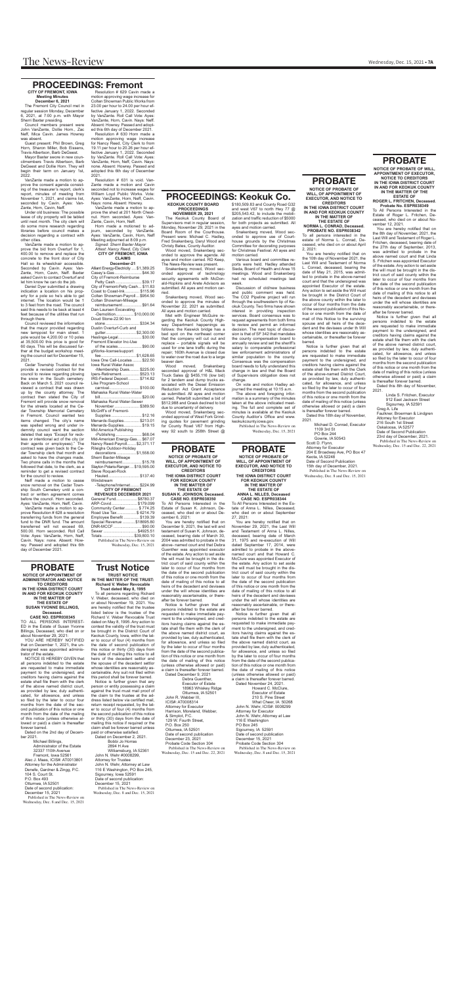### **PROBATE NOTICE OF PROBATE OF**

**WILL, OF APPOINTMENT OF EXECUTOR, AND NOTICE TO CREDITORS IN THE IOWA DISTRICT COURT** 

**IN AND FOR KEOKUK COUNTY IN THE MATTER OF THE ESTATE OF**

#### **NORMA L. CONRAD, Deceased. PROBATE NO. ESPR038342**

To all persons interested in the estate of Norma L. Conrad, Deceased, who died on or about April 2, 2021:

 You are hereby notified that on the 10th day of November 2021, the Last Will and Testament of Norma L. Conrad, deceased, bearing the date of May 21, 2015, was admitted to probate in the above-named court and that the undersigned was appointed Executor of the estate. Any action to set aside the Will must be brought in the District Court of the above county within the later to occur of four months from the date of the second publication of this Notice or one month from the date of mail of this Notice to the surviving spouse and all heirs of the decedent and the devisees under th Will whose identities are reasonably ascertainable, or thereafter be forever barred.

Notice is further given that all persons indebted to the estate are requested to make immediate payment to the undersigned, and creditors having claims against the estate shall file them with the Clerk of the above-named District Court, as provided by law, duly authenticated, for allowance, and unless so filed by the later to occur of four months from the second publication of this notice or one month from the date of mailing of this notice (unless otherwise allowed or paid) a claim is thereafter forever barred. Dated this 18th day of November,

2021. Michael D. Conrad, Executor 1109 3rd St

 PO Box 244 Gowrie, IA 50543 Scott D. Flynn, **PROBATE** PROBATE Attorney for Executor Wednesday, Dec. 15 and Dec. 22, 2021<br>204 E Broadway Ave, PO Box 47 Keota, IA 52248 Date of Second Publication 15th day of December, 2021.

Published in The News-Review on Wednesday, Dec. 8 and Dec. 15, 2021

# **PROBATE**

**NOTICE OF PROBATE OF WILL, OF APPOINTMENT OF EXECUTOR, AND NOTICE TO CREDITORS THE IOWA DISTRICT COURT FOR KEOKUK COUNTY IN THE MATTER OF THE ESTATE OF ANNA L. NILLES, Deceased CASE NO. ESPR038344** To All Persons Interested in the Estate of Anna L. Nilles, Deceased, who died on or about September

27, 2021:

 You are hereby notified that on November 29, 2021, the Last Will and Testament of Anna L. Nilles, deceased, bearing date of March 31, 1975 and re-execution of Will dated September 17, 2014, were admitted to probate in the abovenamed court and that Howard C. McClure was appointed Executor of the estate. Any action to set aside the will must be brought in the district court of said county within the later to occur of four months from the date of the second publication of this notice or one month from the date of mailing of this notice to all heirs of the decedent and devisees under the will whose identities are reasonably ascertainable, or thereafter be forever barred.

Notice is further given that all persons indebted to the estate are requested to make immediate payment to the undersigned, and creditors having claims against the estate shall file them with the clerk of the above named district court, as provided by law, duly authenticated, for allowance, and unless so filed by the later to occur of four months from the date of the second publication of this notice or one month from the date of mailing of this notice (unless otherwise allowed or paid) a claim is thereafter forever barred. Dated November 24, 2021. Howard C. McClure, Executor of Estate

Greg A. Life Faulkner, Broerman & Lindgren Attorney for Executor 216 South 1st Street Oskaloosa, IA 52577 Date of Second Publication 23rd day of December, 2021. Published in The News-Review on<br>Wednesday, Dec. 15 and Dec. 22, 2021

 210 S. Pine Street What Cheer, IA 50268 John N. Wehr, ICIS#: 0008299 Attorney for Executor John N. Wehr, Attorney at Law 116 E Washington PO Box 245 Sigourney, IA 52591 Date of second publication December 15, 2021 Probate Code Section 304 Published in The News-Review on Wednesday, Dec. 8 and Dec. 15, 2021

# **PROBATE**

**NOTICE OF APPOINTMENT OF ADMINISTRATOR AND NOTICE TO CREDITORS IN THE IOWA DISTRICT COURT**

#### **IN AND FOR KEOKUK COUNTY IN THE MATTER OF THE ESTATE OF SUSAN YVONNE BILLINGS, Deceased.**

#### **CASE NO. ESPR038345**

TO ALL PERSONS INTEREST-ED in the Estate of Susan Yvonne Billings, Deceased, who died on or about November 29, 2021:

YOU ARE HEREBY NOTIFIED that on December 1, 2021, the undersigned was appointed administrator of the estate.

NOTICE IS HEREBY GIVEN that all persons indebted to the estate are requested to make immediate payment to the undersigned, and creditors having claims against the estate shall file them with the clerk of the above named district court, as provided by law, duly authenticated, for allowance, and unless so filed by the later to occur four months from the date of the second publication of this notice or one month from the date of the mailing of this notice (unless otherwise allowed or paid) a claim is thereafter forever barred.

Dated on the 2nd day of December 2021.

 Michael Billings, Administrator of the Estate 32337 110th Avenue Fremont, Iowa 52561 Alec J. Maas, ICIS#: AT0013801 Attorney for the Administrator Denefe, Gardner & Zingg, P.C. 104 S. Court St. P.O. Box 493 Ottumwa, IA 52501 Date of second publication: December 15, 2021 Published in The News-Review on Wednesday, Dec. 8 and Dec. 15, 2021

# **PROBATE**

**NOTICE OF PROBATE OF WILL, APPOINTMENT OF EXECUTOR, NOTICE TO CREDITORS**

**IN THE IOWA DISTRICT COURT IN AND FOR KEOKUK COUNTY IN THE MATTER OF THE**

**ESTATE OF ROGER L. FRITCHEN, Deceased.**

**Probate No. ESPR038349** To All Persons Interested in the Estate of Roger L. Fritchen, Deceased, who died on or about November 12, 2021.

 You are hereby notified that on the 8th day of November, 2021, the Last Will and Testament of Roger L. Fritchen, deceased, bearing date of the 27th day of September, 2013, was admitted to probate in the above named court and that Linda S. Fritchen was appointed Executor of the estate. Any action to set aside the will must be brought in the district court of said county within the later to occur of four months from the date of the second publication of this notice or one month from the date of mailing of this notice to all heirs of the decedent and devisees under the will whose identities are reasonably ascertainable, or thereafter be forever barred.

Notice is further given that all persons indebted to the estate are requested to make immediate payment to the undersigned, and creditors having claims against the estate shall file them with the clerk of the above named district court, as provided by law, duly authenticated, for allowance, and unless so filed by the later to occur of four months from the second publication of this notice or one month from the date of mailing of this notice (unless otherwise allowed or paid) a claim is thereafter forever barred.

Dated this 8th day of November, 2021.

 Linda S. Fritchen, Executor 912 East Jackson Street Sigourney, IA 52591

**NOTICE OF PROBATE OF WILL, OF APPOINTMENT OF EXECUTOR, AND NOTICE TO CREDITORS**

**THE IOWA DISTRICT COURT FOR KEOKUK COUNTY IN THE MATTER OF THE ESTATE OF**

**SUSAN K. JOHNSON, Deceased. CASE NO. ESPR038350**

To All Persons Interested in the Estate of Susan K. Johnson, Deceased, who died on or about December 6, 2021: You are hereby notified that on

December 9, 2021, the last will and testament of Susan K. Johnson, deceased, bearing date of March 30, 2004 was admitted to probate in the above- named court and that Debra Guenther was appointed executor of the estate. Any action to set aside the will must be brought in the district court of said county within the later to occur of four months from the date of the second publication of this notice or one month from the date of mailing of this notice to all heirs of the decedent and devisees under the will whose identities are reasonably ascertainable, or thereafter be forever barred.

Snakenberg moved, Wood seconded approval of technology security agreements with McDonald-Hopkins and Arete Advisors as submitted. All ayes and motion carried.

Met with Engineer McGuire regarding the Keokuk County Highway Department happenings as follows: the Keswick bridge has a bad spot on the northeast corner that the company will cut out and replace – portable signals will be used for one lane traffic during the repair; 160th Avenue is closed due to water over the road due to a large beaver dam.

Notice is further given that all persons indebted to the estate are requested to make immediate payment to the undersigned, and creditors having claims against the estate shall file them with the clerk of the above named district court, as provided by law, duly authenticated, for allowance, and unless so filed by the later to occur of four months from the date of the second publication of this notice or one month from the date of mailing of this notice (unless otherwise allowed or paid) a claim is thereafter forever barred.

Wood moved, Snakenberg seconded approval of West Fork Grinding quotes for pavement grinding for County Road V67 from Highway 92 south to 258th Street @

Dated December 9, 2021 Debra Guenther, Executor of Estate 18963 Whiskey Ridge Ottumwa, IA 52501 John R. Webber III, ICIS#: AT0008314 Attorney for Executor Harrison, Moreland, Webber, & Simplot, P.C. 129 W. Fourth Street, P.O. Box 250 Ottumwa, IA 52501 Date of second publication December 23, 2021 Probate Code Section 304 Published in The News-Review on Wednesday, Dec. 15 and Dec. 22, 2021

# The News-Review wednesday, Dec. 15, 2021 • 7A

## **PROCEEDINGS: Fremont**

**CITY OF FREMONT, IOWA Meeting Minutes**

**December 6, 2021** The Fremont City Council met in regular session Monday, December 6, 2021, at 7:00 p.m. with Mayor Sherri Baxter presiding.

Council members present were John VanZante, Dollie Horn., Zac Neff, Mica Cavin. James Howrey was absent.

Guest present: Phil Brown, Greg Horn, Sharon Miller, Bob Eissens, Travis Albertson, Barb DeGeest. Mayor Baxter swore in new coun-

cilmembers Travis Albertson, Barb DeGeest and Dollie Horn. They will begin their term on January 1st, 2022.

VanZante made a motion to approve the consent agenda consisting of the treasurer's report, clerk's report, minutes of meeting from November 1, 2021, and claims list, seconded by Cavin. Ayes: Van-Zante, Horn, Cavin, Neff.

Under old business: The possible lease of city property will be tabled until next month. The city clerk will do some more research regarding libraries before council makes a decision regarding a contract with other cities.

> this period shall be forever barred. Notice is further given that any person or entity possessing a claim against the trust must mail proof of the claim to the trustee at the address listed below via certified mail, return receipt requested, by the later to occur of four (4) months from the second publication of this notice or thirty (30) days from the date of mailing this notice if required or the claim shall be forever barred unless paid or otherwise satisfied. Dated on December 2, 2021. Bobbi Jo Horras

VanZante made a motion to approve the bid from Overturf for 1, 400.00 to remove and replace the concrete to the front door of City Hall so its wheelchair accessible. Seconded by Cavin. Ayes: Van-Zante, Horn, Cavin, Neff. Baxter asked Cavin to contact Overturf and let him know he can do the job.

Daniel Dyer submitted a drawing indication a location on his property for a pole so he's able to get internet. The location would be 1 to 3 feet from the road. The council said this needs to be back at least 4 feet because of the utilities that run through there. Council reviewed the information

that the mayor provided regarding new lamppost for main street. 1 pole would be 4,200.00 or 10 poles at 35,500.00 this price is good for 60 days. This will be discussed further at the budget workshop meeting the council set for December 15, 2021.

Cedar Township Trusties did not provide a revised contract for the council to review regarding plowing the snow in the South cemetery. Back on March 5, 2021 council reviewed a contract that was drawn up by the county attorney. The contract then stated the City of Fremont will provide snow removal for the streets located at the Cedar Township Memorial Cemetery in Fremont. Council wanted two items changed. The city's name was spelled wrong and under indemnity council want the section deleted that says "Except for reckless or intentional act of the city (or their agents or employees)." contract was given back to the Cedar Township clerk that month and asked to have the changes made. Two phone calls in the months that followed that date, to the clerk, as a reminder to get a revised contract for the council to review.

Neff made a motion to cease snow removal on the Cedar Township South Cemetery until a contract or written agreement comes before the council. Horn seconded. Ayes: VanZante, Horn, Neff, Cavin.

VanZante made a motion to approve Resolution # 628 a resolution transferring funds from the general

fund to the DNR fund. The amount transferred will not exceed 69, 500.00. Horn seconded. Roll Call Vote: Ayes: VanZante, Horn, Neff, Cavin. Nays: none. Absent: Howrey. Passed and adopted this 6th day of December 2021.

Resolution # 629 Cavin made a motion approving wage increase for Colten Showman Public Works from 23.00 per hour to 24.00 per hour effective January 1, 2022. Seconded by VanZante. Roll Call Vote: Ayes: VanZante, Horn, Cavin. Nays: Neff. Absent: Howrey. Passed and adopted this 6th day of December 2021.

Resolution # 630 Horn made a motion approving wage increase for Nancy Reed, City Clerk to from 19.11 per hour to 20.26 per hour effective January 1, 2022. Seconded by VanZante. Roll Call Vote: Ayes: VanZante, Horn, Neff, Cavin. Nays: none. Absent: Howrey. Passed and adopted this 6th day of December 2021.

Resolution # 631 is void. Van-Zante made a motion and Cavin seconded not to increase wages for William Loyd Public Works. Vote: Ayes: VanZante, Horn, Neff, Cavin. Nays: none. Absent: Howrey. VanZante made a motion to ap-

prove the shed at 201 North Chestnut. Horn seconded. Ayes: Van-Zante, Cavin, Horn, Neff.

Horn made a motioned to adjourn, seconded by VanZante. Ayes: VanZante, Cavin, Horn, Neff Meeting adjourned at 8:09 p.m. *Signed: Sherri Baxter Mayor*

#### *Attest: Nancy Reed, City Clerk* **CITY OF FREMONT, IOWA CLAIMS**

| w                                             |  |  |
|-----------------------------------------------|--|--|
| December-21                                   |  |  |
| Alliant Energy-Electricity  \$1,389.25        |  |  |
| Casey's-Gas \$44.30                           |  |  |
| City of Fremont-Reimburse                     |  |  |
| Petty Cash \$39.17                            |  |  |
| City of Fremont-Petty Cash \$11.83            |  |  |
| Coast to Coast-Ink \$115.96                   |  |  |
| Colten Showman-Payroll \$954.50               |  |  |
| Colten Showman-Mileage                        |  |  |
|                                               |  |  |
| reimbursement\$91.64                          |  |  |
| Dan Laursen Excavating                        |  |  |
| -Demolition\$10,000.00                        |  |  |
| Doud Stone-22.90 ton                          |  |  |
| stone  \$334.34                               |  |  |
| Dustin Overturf-Curb and                      |  |  |
| gutter\$2,300.00                              |  |  |
|                                               |  |  |
| Heslinga-Legal\$30.00                         |  |  |
| Fremont Elevator Inc-Use                      |  |  |
| of the scales\$90.00                          |  |  |
| gWorks-license/support                        |  |  |
| fee \$1,628.65                                |  |  |
| lowa One Call-Locates  \$22.50                |  |  |
| Iowa Rural Water Assoc                        |  |  |
| -Membership Dues \$225.00                     |  |  |
| Ipers-Retirement\$523.13                      |  |  |
|                                               |  |  |
| IRS-Federal Deposit \$714.82                  |  |  |
| Like Program-School                           |  |  |
| carnival\$100.00                              |  |  |
| Mahaska Rural Water-Water                     |  |  |
|                                               |  |  |
| Mahaska Rural Water-Sewer                     |  |  |
| November  \$389.50                            |  |  |
| McGriff's of Fremont-                         |  |  |
| Supplies \$12.16                              |  |  |
| Menards-Supplies\$213.01                      |  |  |
|                                               |  |  |
| Menards-Supplies\$19.15                       |  |  |
| Mid America Publishing                        |  |  |
| -Publishing \$68.04                           |  |  |
| Mid-American Energy-Gas \$67.07               |  |  |
| Nancy Reed-Payroll \$2,371.17                 |  |  |
| Rileighs Outdoor-Holiday                      |  |  |
| decorations \$1,558.00                        |  |  |
|                                               |  |  |
| Sherri Baxter-Mileage<br>reimbursement\$15.78 |  |  |
|                                               |  |  |
| Slayton Polaris-Ranger \$19,595.00            |  |  |
| Steve Roquet-Rock                             |  |  |
| Hauled\$137.40                                |  |  |
| Windstream                                    |  |  |
| -Telephone/Internet \$224.99                  |  |  |

| windstream                    |                              |
|-------------------------------|------------------------------|
|                               | -Telephone/Internet \$224.99 |
| <b>CITY OF FREMONT</b>        |                              |
| <b>REVENUES DECEMBER 2021</b> |                              |
|                               |                              |

| REVENUES DEUEMBER 2021     |
|----------------------------|
| General Fund\$8780.37      |
| ARP-Covid \$179.099        |
| Community Center \$774.25  |
| Road Use Tax\$ 6214.79     |
| Employee Benefit  \$139.39 |
|                            |

| Special Revenue  \$18695.80     |  |
|---------------------------------|--|
| DNR-MCCF  \$90.00               |  |
| Sewer  \$4925.51                |  |
| Totals\$39,800.10               |  |
| Published in The News-Review on |  |

Wednesday, Dec. 15, 2021

### **PROCEEDINGS: Keokuk Co. KEOKUK COUNTY BOARD**

**PROCEEDINGS NOVEMBER 29, 2021**

The Keokuk County Board of Supervisors met in regular session, Monday, November 29, 2021 in the Board Room of the Courthouse. Present were: Michael C. Hadley, Fred Snakenberg, Daryl Wood and Christy Bates, County Auditor.

Wood moved, Snakenberg seconded to approve the agenda. All ayes and motion carried. RD Keep, The News-Review was present.

Snakenberg moved, Wood seconded to approve the minutes of November 22, 2021 as submitted. All ayes and motion carried.

Wood moved, Snakenberg seconded approval of H&L Mack Truck Sales @ \$455,116 (low bid) for 2 tandem axel dump trucks associated with the Diesel Emission Reduction Act Grant Acceptance as submitted. All ayes and motion carried. Peterbilt submitted a bid of \$512,988 and Grask declined to bid due to uncertainty of delivery.

\$180,509.83 and County Road G32 and west V67 to north Hwy 77 @ \$205,543.42, to include the mobilization and traffic reduction of \$5000 for both projects as submitted. All ayes and motion carried.

Snakenberg moved, Wood seconded to approve use of Courthouse grounds by the Christmas Committee for decorating purposes for Christmas Festival. All ayes and motion carried.

Various board and committee reports were held. Hadley attended Sieda, Board of Health and Area 15 meetings. Wood and Snakenberg had no scheduled meetings last week.

Discussion of old/new business and public comment was held. The CO2 Pipeline project will run through the southwestern tip of Keokuk County. Two firms have shown interest in providing inspection services. Board consensus was to request agreements from both firms to review and permit an informed decision. The next topic of discussion is that of SF 342 that mandates the county compensation board to annually review and set the sheriff's salary to comparable professional law enforcement administrators of similar population to the county. Consensus was the compensation board needs to fully understand this change in law and that the Board of Supervisors obligation does not change.

On vote and motion Hadley adjourned the meeting at 10:15 a.m.

The above and foregoing information is a summary of the minutes taken at the above indicated meeting. The full and complete set of minutes is available at the Keokuk County Auditor's Office and www. keokukcounty.iowa.gov.

Published in The News-Review on Wednesday, Dec. 15, 2021

# **Trust Notice**

#### **TRUST NOTICE IN THE MATTER OF THE TRUST: Richard V. Weber Revocable Trust dated May 8, 1995**

To all persons regarding Richard V. Weber, deceased, who died on or about November 19, 2021. You are hereby notified that the trustee listed below is the trustee of the Richard V. Weber Revocable Trust dated on May 8, 1995. Any action to contest the validity of the trust must be brought in the District Court of Keokuk County, Iowa, within the later to occur of four (4) months from the date of second publication of this notice or thirty (30) days from the date of mailing this notice to all heirs of the decedent settlor and the spouse of the decedent settlor whose identities are reasonably ascertainable. Any suit not filed within

 2894 H Ave Williamsburg, IA 52361 John N. Wehr #0008299, Attorney for Trustee John N. Wehr, Attorney at Law 116 E Washington, PO Box 245, Sigourney, Iowa 52591 Date of second publication: December 15, 2021 Published in The News-Review on Wednesday, Dec. 8 and Dec. 15, 2021